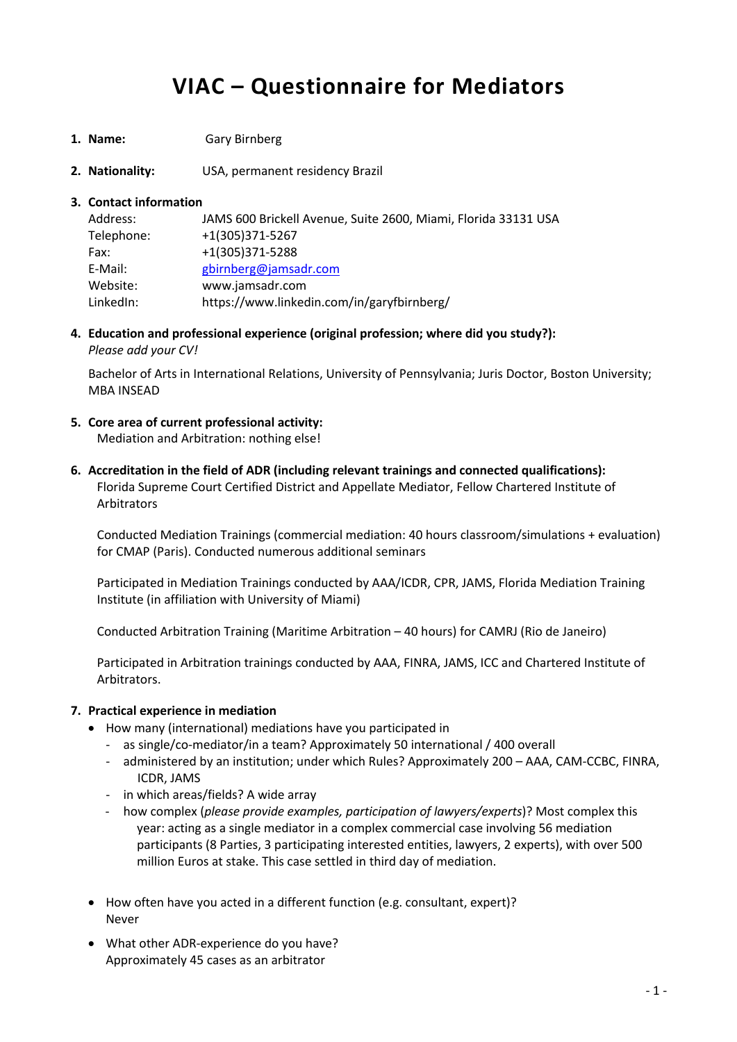# **VIAC – Questionnaire for Mediators**

- **1. Name:** Gary Birnberg
- **2. Nationality:** USA, permanent residency Brazil

### **3. Contact information**

| Address:   | JAMS 600 Brickell Avenue, Suite 2600, Miami, Florida 33131 USA |
|------------|----------------------------------------------------------------|
| Telephone: | +1(305)371-5267                                                |
| Fax:       | +1(305)371-5288                                                |
| E-Mail:    | gbirnberg@jamsadr.com                                          |
| Website:   | www.jamsadr.com                                                |
| LinkedIn:  | https://www.linkedin.com/in/garyfbirnberg/                     |

**4. Education and professional experience (original profession; where did you study?):** *Please add your CV!*

Bachelor of Arts in International Relations, University of Pennsylvania; Juris Doctor, Boston University; MBA INSEAD

- **5. Core area of current professional activity:** Mediation and Arbitration: nothing else!
- **6. Accreditation in the field of ADR (including relevant trainings and connected qualifications):** Florida Supreme Court Certified District and Appellate Mediator, Fellow Chartered Institute of Arbitrators

Conducted Mediation Trainings (commercial mediation: 40 hours classroom/simulations + evaluation) for CMAP (Paris). Conducted numerous additional seminars

Participated in Mediation Trainings conducted by AAA/ICDR, CPR, JAMS, Florida Mediation Training Institute (in affiliation with University of Miami)

Conducted Arbitration Training (Maritime Arbitration – 40 hours) for CAMRJ (Rio de Janeiro)

Participated in Arbitration trainings conducted by AAA, FINRA, JAMS, ICC and Chartered Institute of Arbitrators.

## **7. Practical experience in mediation**

- How many (international) mediations have you participated in
	- as single/co-mediator/in a team? Approximately 50 international / 400 overall
	- administered by an institution; under which Rules? Approximately 200 AAA, CAM-CCBC, FINRA, ICDR, JAMS
	- in which areas/fields? A wide array
	- how complex (*please provide examples, participation of lawyers/experts*)? Most complex this year: acting as a single mediator in a complex commercial case involving 56 mediation participants (8 Parties, 3 participating interested entities, lawyers, 2 experts), with over 500 million Euros at stake. This case settled in third day of mediation.
- How often have you acted in a different function (e.g. consultant, expert)? Never
- What other ADR-experience do you have? Approximately 45 cases as an arbitrator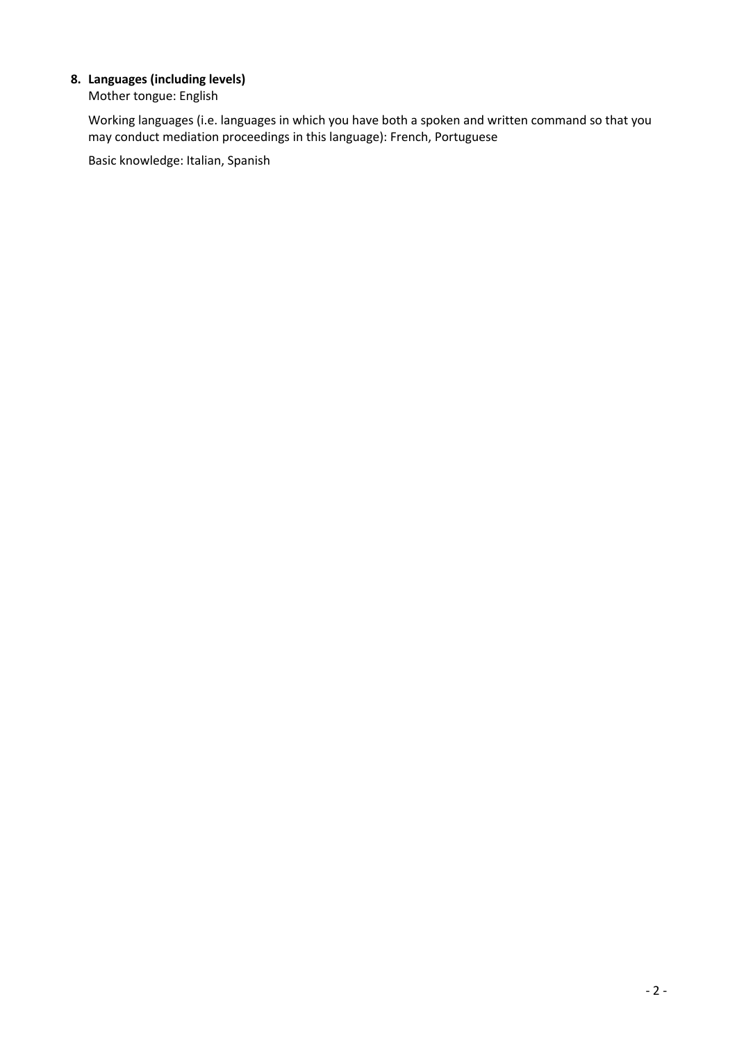## **8. Languages (including levels)**

Mother tongue: English

Working languages (i.e. languages in which you have both a spoken and written command so that you may conduct mediation proceedings in this language): French, Portuguese

Basic knowledge: Italian, Spanish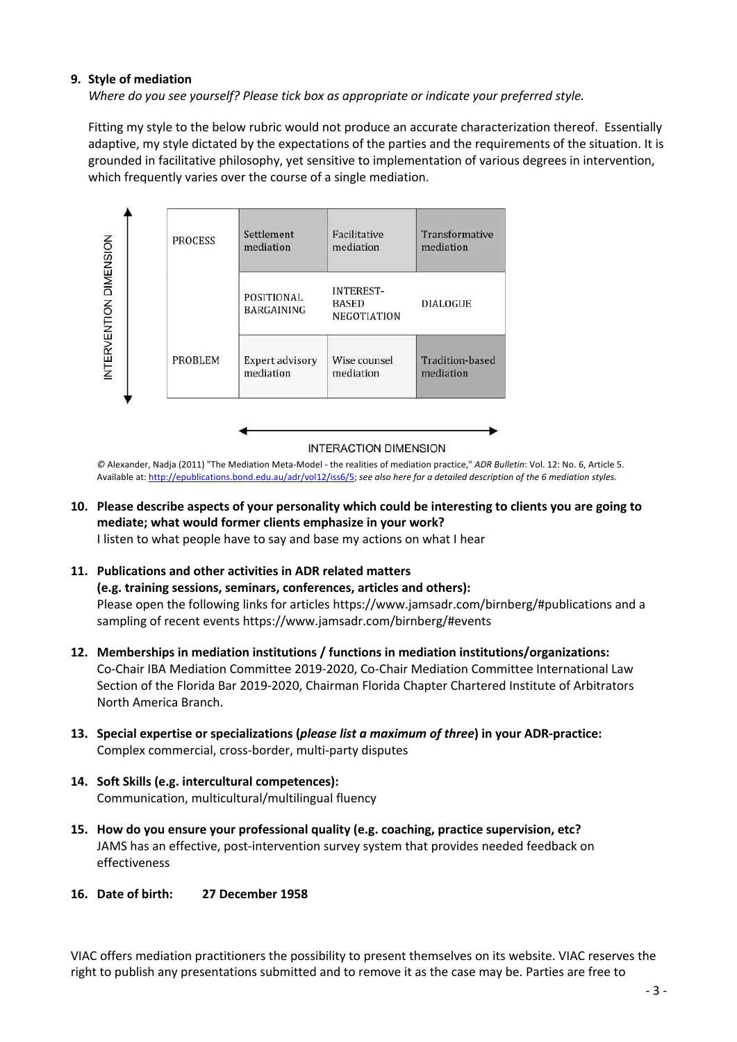## **9. Style of mediation**

*Where do you see yourself? Please tick box as appropriate or indicate your preferred style.*

Fitting my style to the below rubric would not produce an accurate characterization thereof. Essentially adaptive, my style dictated by the expectations of the parties and the requirements of the situation. It is grounded in facilitative philosophy, yet sensitive to implementation of various degrees in intervention, which frequently varies over the course of a single mediation.



**INTERACTION DIMENSION** 

*©* Alexander, Nadja (2011) "The Mediation Meta-Model - the realities of mediation practice," *ADR Bulletin*: Vol. 12: No. 6, Article 5. Available at: http://epublications.bond.edu.au/adr/vol12/iss6/5; *see also here for a detailed description of the 6 mediation styles.*

**10. Please describe aspects of your personality which could be interesting to clients you are going to mediate; what would former clients emphasize in your work?**

I listen to what people have to say and base my actions on what I hear

#### **11. Publications and other activities in ADR related matters**

**(e.g. training sessions, seminars, conferences, articles and others):** Please open the following links for articles https://www.jamsadr.com/birnberg/#publications and a sampling of recent events https://www.jamsadr.com/birnberg/#events

- **12. Memberships in mediation institutions / functions in mediation institutions/organizations:** Co-Chair IBA Mediation Committee 2019-2020, Co-Chair Mediation Committee International Law Section of the Florida Bar 2019-2020, Chairman Florida Chapter Chartered Institute of Arbitrators North America Branch.
- **13. Special expertise or specializations (***please list a maximum of three***) in your ADR-practice:** Complex commercial, cross-border, multi-party disputes
- **14. Soft Skills (e.g. intercultural competences):** Communication, multicultural/multilingual fluency
- **15. How do you ensure your professional quality (e.g. coaching, practice supervision, etc?** JAMS has an effective, post-intervention survey system that provides needed feedback on effectiveness
- **16. Date of birth: 27 December 1958**

VIAC offers mediation practitioners the possibility to present themselves on its website. VIAC reserves the right to publish any presentations submitted and to remove it as the case may be. Parties are free to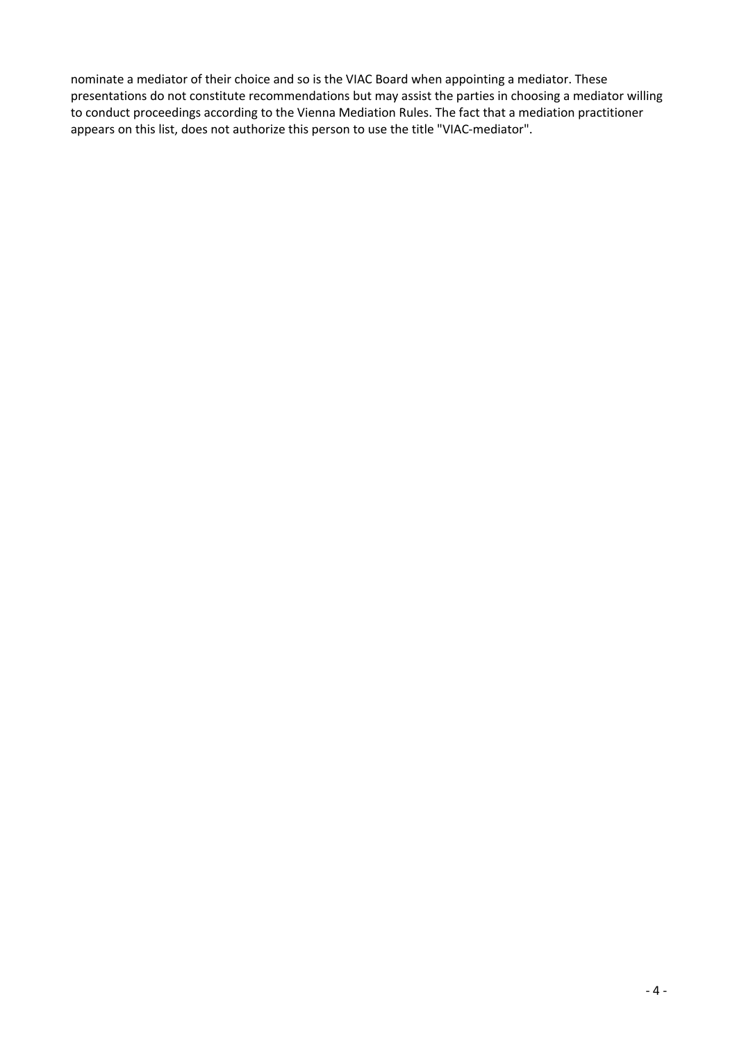nominate a mediator of their choice and so is the VIAC Board when appointing a mediator. These presentations do not constitute recommendations but may assist the parties in choosing a mediator willing to conduct proceedings according to the Vienna Mediation Rules. The fact that a mediation practitioner appears on this list, does not authorize this person to use the title "VIAC-mediator".